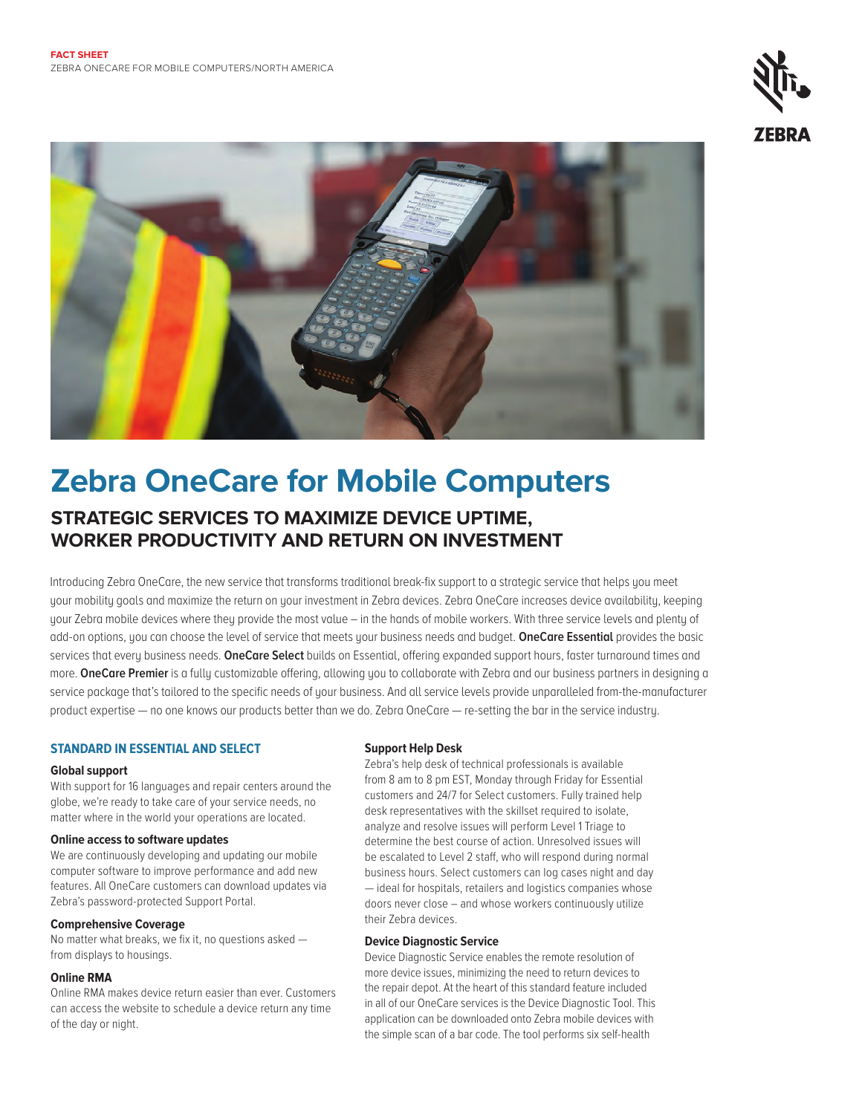



# **Zebra OneCare for Mobile Computers STRATEGIC SERVICES TO MAXIMIZE DEVICE UPTIME. WORKER PRODUCTIVITY AND RETURN ON INVESTMENT**

Introducing Zebra OneCare, the new service that transforms traditional break-fix support to a strategic service that helps you meet your mobility goals and maximize the return on your investment in Zebra devices. Zebra OneCare increases device availability, keeping your Zebra mobile devices where they provide the most value – in the hands of mobile workers. With three service levels and plenty of add-on options, you can choose the level of service that meets your business needs and budget. **OneCare Essential** provides the basic services that every business needs. **OneCare Select** builds on Essential, offering expanded support hours, faster turnaround times and more. **OneCare Premier** is a fully customizable offering, allowing you to collaborate with Zebra and our business partners in designing a service package that's tailored to the specific needs of your business. And all service levels provide unparalleled from-the-manufacturer product expertise — no one knows our products better than we do. Zebra OneCare — re-setting the bar in the service industry.

# **STANDARD IN ESSENTIAL AND SELECT**

#### **Global support**

With support for 16 languages and repair centers around the globe, we're ready to take care of your service needs, no matter where in the world your operations are located.

#### **Online access to software updates**

We are continuously developing and updating our mobile computer software to improve performance and add new features. All OneCare customers can download updates via Zebra's password-protected Support Portal.

#### **Comprehensive Coverage**

No matter what breaks, we fix it, no questions asked from displays to housings.

## **Online RMA**

Online RMA makes device return easier than ever. Customers can access the website to schedule a device return any time of the day or night.

### **Support Help Desk**

Zebra's help desk of technical professionals is available from 8 am to 8 pm EST, Monday through Friday for Essential customers and 24/7 for Select customers. Fully trained help desk representatives with the skillset required to isolate, analyze and resolve issues will perform Level 1 Triage to determine the best course of action. Unresolved issues will be escalated to Level 2 staff, who will respond during normal business hours. Select customers can log cases night and day — ideal for hospitals, retailers and logistics companies whose doors never close – and whose workers continuously utilize their Zebra devices.

### **Device Diagnostic Service**

Device Diagnostic Service enables the remote resolution of more device issues, minimizing the need to return devices to the repair depot. At the heart of this standard feature included in all of our OneCare services is the Device Diagnostic Tool. This application can be downloaded onto Zebra mobile devices with the simple scan of a bar code. The tool performs six self-health